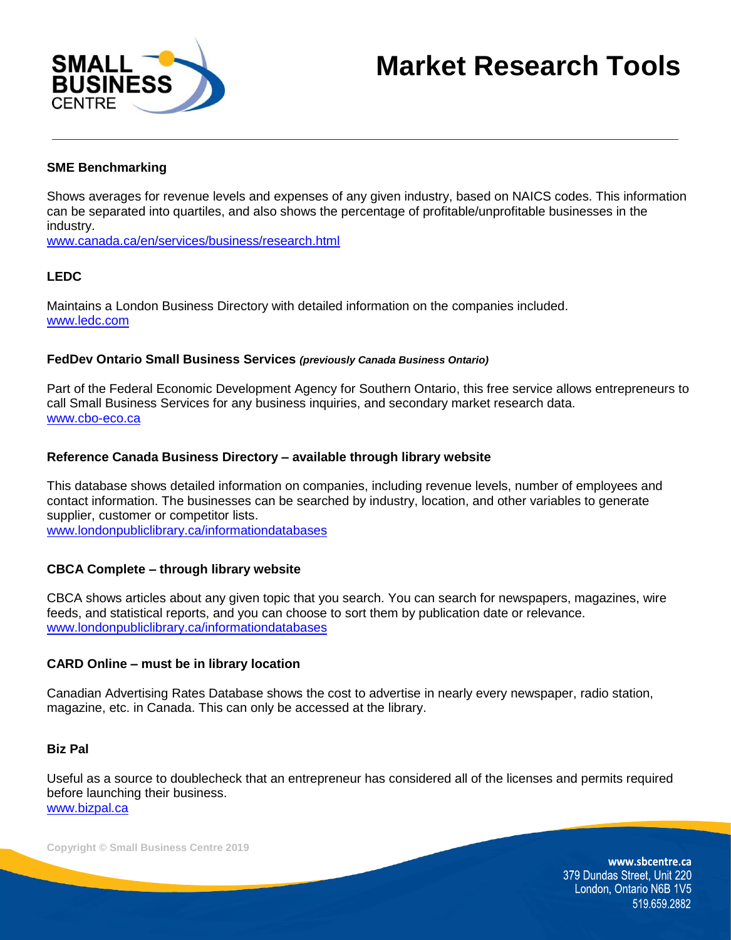

# **Market Research Tools**

# **SME Benchmarking**

Shows averages for revenue levels and expenses of any given industry, based on NAICS codes. This information can be separated into quartiles, and also shows the percentage of profitable/unprofitable businesses in the industry.

[www.canada.ca/en/services/business/research.html](http://www.canada.ca/en/services/business/research.html)

# **LEDC**

Maintains a London Business Directory with detailed information on the companies included. [www.ledc.com](http://www.ledc.com/)

#### **FedDev Ontario Small Business Services** *(previously Canada Business Ontario)*

Part of the Federal Economic Development Agency for Southern Ontario, this free service allows entrepreneurs to call Small Business Services for any business inquiries, and secondary market research data. [www.cbo-eco.ca](http://www.cbo-eco.ca/)

## **Reference Canada Business Directory – available through library website**

This database shows detailed information on companies, including revenue levels, number of employees and contact information. The businesses can be searched by industry, location, and other variables to generate supplier, customer or competitor lists.

[www.londonpubliclibrary.ca/informationdatabases](http://www.londonpubliclibrary.ca/informationdatabases)

## **CBCA Complete – through library website**

CBCA shows articles about any given topic that you search. You can search for newspapers, magazines, wire feeds, and statistical reports, and you can choose to sort them by publication date or relevance. [www.londonpubliclibrary.ca/informationdatabases](http://www.londonpubliclibrary.ca/informationdatabases)

#### **CARD Online – must be in library location**

Canadian Advertising Rates Database shows the cost to advertise in nearly every newspaper, radio station, magazine, etc. in Canada. This can only be accessed at the library.

#### **Biz Pal**

Useful as a source to doublecheck that an entrepreneur has considered all of the licenses and permits required before launching their business. [www.bizpal.ca](http://www.bizpal.ca/)

**Copyright © Small Business Centre 2019**

www.sbcentre.ca 379 Dundas Street, Unit 220 London, Ontario N6B 1V5 519.659.2882